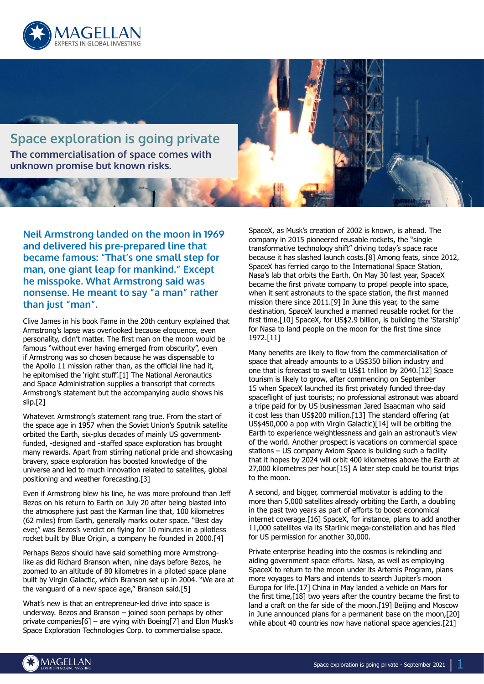

**Space exploration is going private The commercialisation of space comes with unknown promise but known risks.**

**Neil Armstrong landed on the moon in 1969 and delivered his pre-prepared line that became famous: "That's one small step for man, one giant leap for mankind." Except he misspoke. What Armstrong said was nonsense. He meant to say "a man" rather than just "man".**

Clive James in his book Fame in the 20th century explained that Armstrong's lapse was overlooked because eloquence, even personality, didn't matter. The first man on the moon would be famous "without ever having emerged from obscurity", even if Armstrong was so chosen because he was dispensable to the Apollo 11 mission rather than, as the official line had it, he epitomised the 'right stuff'.[1] The National Aeronautics and Space Administration supplies a transcript that corrects Armstrong's statement but the accompanying audio shows his slip.[2]

Whatever. Armstrong's statement rang true. From the start of the space age in 1957 when the Soviet Union's Sputnik satellite orbited the Earth, six-plus decades of mainly US governmentfunded, -designed and -staffed space exploration has brought many rewards. Apart from stirring national pride and showcasing bravery, space exploration has boosted knowledge of the universe and led to much innovation related to satellites, global positioning and weather forecasting.[3]

Even if Armstrong blew his line, he was more profound than Jeff Bezos on his return to Earth on July 20 after being blasted into the atmosphere just past the Karman line that, 100 kilometres (62 miles) from Earth, generally marks outer space. "Best day ever," was Bezos's verdict on flying for 10 minutes in a pilotless rocket built by Blue Origin, a company he founded in 2000.[4]

Perhaps Bezos should have said something more Armstronglike as did Richard Branson when, nine days before Bezos, he zoomed to an altitude of 80 kilometres in a piloted space plane built by Virgin Galactic, which Branson set up in 2004. "We are at the vanguard of a new space age," Branson said.[5]

What's new is that an entrepreneur-led drive into space is underway. Bezos and Branson – joined soon perhaps by other private companies[6] – are vying with Boeing[7] and Elon Musk's Space Exploration Technologies Corp. to commercialise space.

SpaceX, as Musk's creation of 2002 is known, is ahead. The company in 2015 pioneered reusable rockets, the "single transformative technology shift" driving today's space race because it has slashed launch costs.[8] Among feats, since 2012, SpaceX has ferried cargo to the International Space Station, Nasa's lab that orbits the Earth. On May 30 last year, SpaceX became the first private company to propel people into space, when it sent astronauts to the space station, the first manned mission there since 2011.[9] In June this year, to the same destination, SpaceX launched a manned reusable rocket for the first time.[10] SpaceX, for US\$2.9 billion, is building the 'Starship' for Nasa to land people on the moon for the first time since 1972.[11]

Many benefits are likely to flow from the commercialisation of space that already amounts to a US\$350 billion industry and one that is forecast to swell to US\$1 trillion by 2040.[12] Space tourism is likely to grow, after commencing on September 15 when SpaceX launched its first privately funded three-day spaceflight of just tourists; no professional astronaut was aboard a tripe paid for by US businessman Jared Isaacman who said it cost less than US\$200 million.[13] The standard offering (at US\$450,000 a pop with Virgin Galactic)[14] will be orbiting the Earth to experience weightlessness and gain an astronaut's view of the world. Another prospect is vacations on commercial space stations – US company Axiom Space is building such a facility that it hopes by 2024 will orbit 400 kilometres above the Earth at 27,000 kilometres per hour.[15] A later step could be tourist trips to the moon.

A second, and bigger, commercial motivator is adding to the more than 5,000 satellites already orbiting the Earth, a doubling in the past two years as part of efforts to boost economical internet coverage.[16] SpaceX, for instance, plans to add another 11,000 satellites via its Starlink mega-constellation and has filed for US permission for another 30,000.

Private enterprise heading into the cosmos is rekindling and aiding government space efforts. Nasa, as well as employing SpaceX to return to the moon under its Artemis Program, plans more voyages to Mars and intends to search Jupiter's moon Europa for life.[17] China in May landed a vehicle on Mars for the first time,[18] two years after the country became the first to land a craft on the far side of the moon.[19] Beijing and Moscow in June announced plans for a permanent base on the moon,[20] while about 40 countries now have national space agencies.[21]

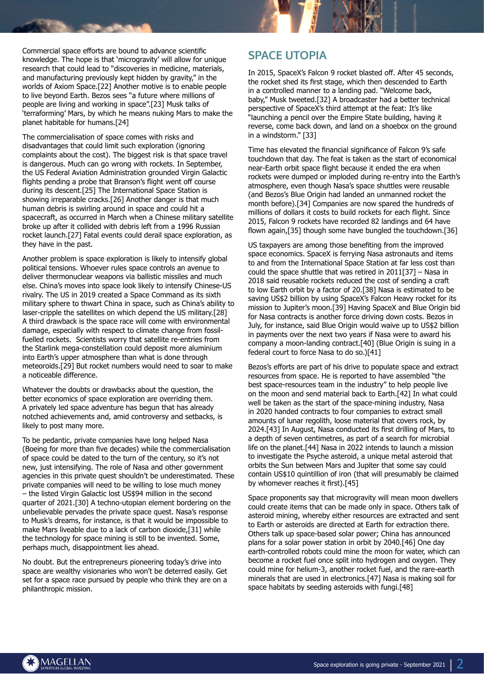Commercial space efforts are bound to advance scientific knowledge. The hope is that 'microgravity' will allow for unique research that could lead to "discoveries in medicine, materials, and manufacturing previously kept hidden by gravity," in the worlds of Axiom Space.[22] Another motive is to enable people to live beyond Earth. Bezos sees "a future where millions of people are living and working in space".[23] Musk talks of 'terraforming' Mars, by which he means nuking Mars to make the planet habitable for humans.[24]

The commercialisation of space comes with risks and disadvantages that could limit such exploration (ignoring complaints about the cost). The biggest risk is that space travel is dangerous. Much can go wrong with rockets. In September, the US Federal Aviation Administration grounded Virgin Galactic flights pending a probe that Branson's flight went off course during its descent.[25] The International Space Station is showing irreparable cracks.[26] Another danger is that much human debris is swirling around in space and could hit a spacecraft, as occurred in March when a Chinese military satellite broke up after it collided with debris left from a 1996 Russian rocket launch.[27] Fatal events could derail space exploration, as they have in the past.

Another problem is space exploration is likely to intensify global political tensions. Whoever rules space controls an avenue to deliver thermonuclear weapons via ballistic missiles and much else. China's moves into space look likely to intensify Chinese-US rivalry. The US in 2019 created a Space Command as its sixth military sphere to thwart China in space, such as China's ability to laser-cripple the satellites on which depend the US military.[28] A third drawback is the space race will come with environmental damage, especially with respect to climate change from fossilfuelled rockets. Scientists worry that satellite re-entries from the Starlink mega-constellation could deposit more aluminium into Earth's upper atmosphere than what is done through meteoroids.[29] But rocket numbers would need to soar to make a noticeable difference.

Whatever the doubts or drawbacks about the question, the better economics of space exploration are overriding them. A privately led space adventure has begun that has already notched achievements and, amid controversy and setbacks, is likely to post many more.

To be pedantic, private companies have long helped Nasa (Boeing for more than five decades) while the commercialisation of space could be dated to the turn of the century, so it's not new, just intensifying. The role of Nasa and other government agencies in this private quest shouldn't be underestimated. These private companies will need to be willing to lose much money – the listed Virgin Galactic lost US\$94 million in the second quarter of 2021.[30] A techno-utopian element bordering on the unbelievable pervades the private space quest. Nasa's response to Musk's dreams, for instance, is that it would be impossible to make Mars liveable due to a lack of carbon dioxide,[31] while the technology for space mining is still to be invented. Some, perhaps much, disappointment lies ahead.

No doubt. But the entrepreneurs pioneering today's drive into space are wealthy visionaries who won't be deterred easily. Get set for a space race pursued by people who think they are on a philanthropic mission.

## **SPACE UTOPIA**

In 2015, SpaceX's Falcon 9 rocket blasted off. After 45 seconds, the rocket shed its first stage, which then descended to Earth in a controlled manner to a landing pad. "Welcome back, baby," Musk tweeted.[32] A broadcaster had a better technical perspective of SpaceX's third attempt at the feat: It's like "launching a pencil over the Empire State building, having it reverse, come back down, and land on a shoebox on the ground in a windstorm." [33]

Time has elevated the financial significance of Falcon 9's safe touchdown that day. The feat is taken as the start of economical near-Earth orbit space flight because it ended the era when rockets were dumped or imploded during re-entry into the Earth's atmosphere, even though Nasa's space shuttles were reusable (and Bezos's Blue Origin had landed an unmanned rocket the month before).[34] Companies are now spared the hundreds of millions of dollars it costs to build rockets for each flight. Since 2015, Falcon 9 rockets have recorded 82 landings and 64 have flown again,[35] though some have bungled the touchdown.[36]

US taxpayers are among those benefiting from the improved space economics. SpaceX is ferrying Nasa astronauts and items to and from the International Space Station at far less cost than could the space shuttle that was retired in 2011[37] – Nasa in 2018 said reusable rockets reduced the cost of sending a craft to low Earth orbit by a factor of 20.[38] Nasa is estimated to be saving US\$2 billion by using SpaceX's Falcon Heavy rocket for its mission to Jupiter's moon.[39] Having SpaceX and Blue Origin bid for Nasa contracts is another force driving down costs. Bezos in July, for instance, said Blue Origin would waive up to US\$2 billion in payments over the next two years if Nasa were to award his company a moon-landing contract.[40] (Blue Origin is suing in a federal court to force Nasa to do so.)[41]

Bezos's efforts are part of his drive to populate space and extract resources from space. He is reported to have assembled "the best space-resources team in the industry" to help people live on the moon and send material back to Earth.[42] In what could well be taken as the start of the space-mining industry, Nasa in 2020 handed contracts to four companies to extract small amounts of lunar regolith, loose material that covers rock, by 2024.[43] In August, Nasa conducted its first drilling of Mars, to a depth of seven centimetres, as part of a search for microbial life on the planet.[44] Nasa in 2022 intends to launch a mission to investigate the Psyche asteroid, a unique metal asteroid that orbits the Sun between Mars and Jupiter that some say could contain US\$10 quintillion of iron (that will presumably be claimed by whomever reaches it first).[45]

Space proponents say that microgravity will mean moon dwellers could create items that can be made only in space. Others talk of asteroid mining, whereby either resources are extracted and sent to Earth or asteroids are directed at Earth for extraction there. Others talk up space-based solar power; China has announced plans for a solar power station in orbit by 2040.[46] One day earth-controlled robots could mine the moon for water, which can become a rocket fuel once split into hydrogen and oxygen. They could mine for helium-3, another rocket fuel, and the rare-earth minerals that are used in electronics.[47] Nasa is making soil for space habitats by seeding asteroids with fungi.[48]

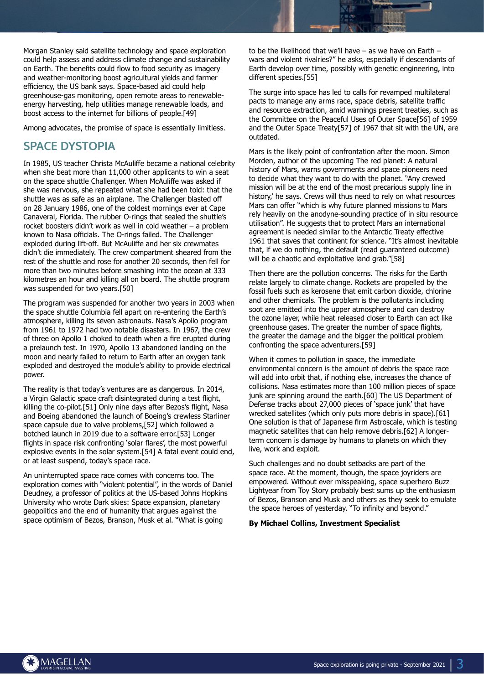Morgan Stanley said satellite technology and space exploration could help assess and address climate change and sustainability on Earth. The benefits could flow to food security as imagery and weather-monitoring boost agricultural yields and farmer efficiency, the US bank says. Space-based aid could help greenhouse-gas monitoring, open remote areas to renewableenergy harvesting, help utilities manage renewable loads, and boost access to the internet for billions of people.[49]

Among advocates, the promise of space is essentially limitless.

## **SPACE DYSTOPIA**

In 1985, US teacher Christa McAuliffe became a national celebrity when she beat more than 11,000 other applicants to win a seat on the space shuttle Challenger. When McAuliffe was asked if she was nervous, she repeated what she had been told: that the shuttle was as safe as an airplane. The Challenger blasted off on 28 January 1986, one of the coldest mornings ever at Cape Canaveral, Florida. The rubber O-rings that sealed the shuttle's rocket boosters didn't work as well in cold weather – a problem known to Nasa officials. The O-rings failed. The Challenger exploded during lift-off. But McAuliffe and her six crewmates didn't die immediately. The crew compartment sheared from the rest of the shuttle and rose for another 20 seconds, then fell for more than two minutes before smashing into the ocean at 333 kilometres an hour and killing all on board. The shuttle program was suspended for two years.[50]

The program was suspended for another two years in 2003 when the space shuttle Columbia fell apart on re-entering the Earth's atmosphere, killing its seven astronauts. Nasa's Apollo program from 1961 to 1972 had two notable disasters. In 1967, the crew of three on Apollo 1 choked to death when a fire erupted during a prelaunch test. In 1970, Apollo 13 abandoned landing on the moon and nearly failed to return to Earth after an oxygen tank exploded and destroyed the module's ability to provide electrical power.

The reality is that today's ventures are as dangerous. In 2014, a Virgin Galactic space craft disintegrated during a test flight, killing the co-pilot.[51] Only nine days after Bezos's flight, Nasa and Boeing abandoned the launch of Boeing's crewless Starliner space capsule due to valve problems,[52] which followed a botched launch in 2019 due to a software error.[53] Longer flights in space risk confronting 'solar flares', the most powerful explosive events in the solar system.[54] A fatal event could end, or at least suspend, today's space race.

An uninterrupted space race comes with concerns too. The exploration comes with "violent potential", in the words of Daniel Deudney, a professor of politics at the US-based Johns Hopkins University who wrote Dark skies: Space expansion, planetary geopolitics and the end of humanity that argues against the space optimism of Bezos, Branson, Musk et al. "What is going

to be the likelihood that we'll have – as we have on Earth – wars and violent rivalries?" he asks, especially if descendants of Earth develop over time, possibly with genetic engineering, into different species.[55]

The surge into space has led to calls for revamped multilateral pacts to manage any arms race, space debris, satellite traffic and resource extraction, amid warnings present treaties, such as the Committee on the Peaceful Uses of Outer Space[56] of 1959 and the Outer Space Treaty[57] of 1967 that sit with the UN, are outdated.

Mars is the likely point of confrontation after the moon. Simon Morden, author of the upcoming The red planet: A natural history of Mars, warns governments and space pioneers need to decide what they want to do with the planet. "Any crewed mission will be at the end of the most precarious supply line in history,' he says. Crews will thus need to rely on what resources Mars can offer "which is why future planned missions to Mars rely heavily on the anodyne-sounding practice of in situ resource utilisation". He suggests that to protect Mars an international agreement is needed similar to the Antarctic Treaty effective 1961 that saves that continent for science. "It's almost inevitable that, if we do nothing, the default (read guaranteed outcome) will be a chaotic and exploitative land grab."[58]

Then there are the pollution concerns. The risks for the Earth relate largely to climate change. Rockets are propelled by the fossil fuels such as kerosene that emit carbon dioxide, chlorine and other chemicals. The problem is the pollutants including soot are emitted into the upper atmosphere and can destroy the ozone layer, while heat released closer to Earth can act like greenhouse gases. The greater the number of space flights, the greater the damage and the bigger the political problem confronting the space adventurers.[59]

When it comes to pollution in space, the immediate environmental concern is the amount of debris the space race will add into orbit that, if nothing else, increases the chance of collisions. Nasa estimates more than 100 million pieces of space junk are spinning around the earth.[60] The US Department of Defense tracks about 27,000 pieces of 'space junk' that have wrecked satellites (which only puts more debris in space).[61] One solution is that of Japanese firm Astroscale, which is testing magnetic satellites that can help remove debris.[62] A longerterm concern is damage by humans to planets on which they live, work and exploit.

Such challenges and no doubt setbacks are part of the space race. At the moment, though, the space joyriders are empowered. Without ever misspeaking, space superhero Buzz Lightyear from Toy Story probably best sums up the enthusiasm of Bezos, Branson and Musk and others as they seek to emulate the space heroes of yesterday. "To infinity and beyond."

## **By Michael Collins, Investment Specialist**